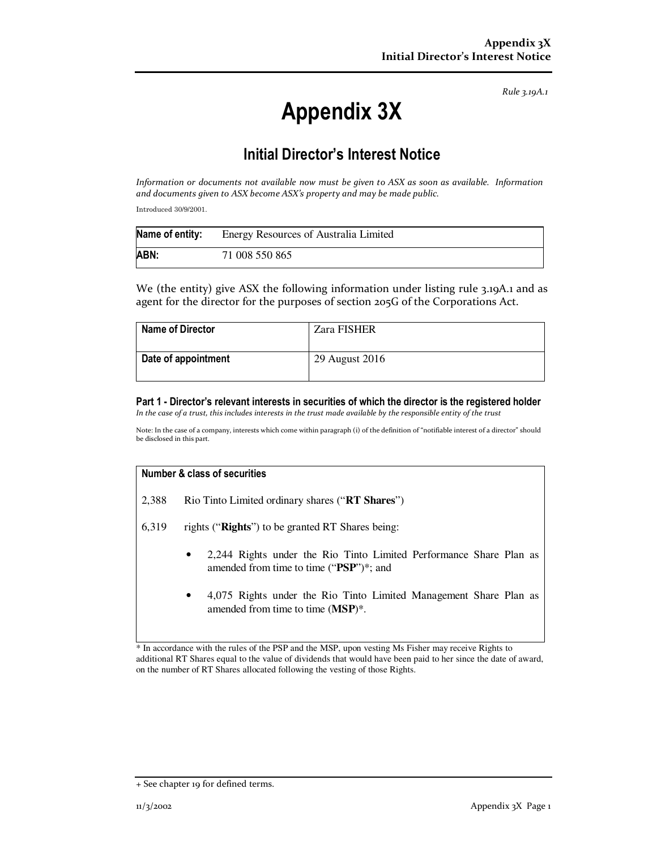*Rule 3.19A.1*

# **Appendix 3X**

## **Initial Director's Interest Notice**

*Information or documents not available now must be given to ASX as soon as available. Information and documents given to ASX become ASX's property and may be made public.* 

Introduced 30/9/2001.

| Name of entity: | Energy Resources of Australia Limited |
|-----------------|---------------------------------------|
| ABN:            | 71 008 550 865                        |

We (the entity) give ASX the following information under listing rule 3.19A.1 and as agent for the director for the purposes of section 205G of the Corporations Act.

| Name of Director    | <b>Zara FISHER</b> |
|---------------------|--------------------|
| Date of appointment | 29 August 2016     |

#### **Part 1 - Director's relevant interests in securities of which the director is the registered holder**  *In the case of a trust, this includes interests in the trust made available by the responsible entity of the trust*

Note: In the case of a company, interests which come within paragraph (i) of the definition of "notifiable interest of a director" should be disclosed in this part.

#### **Number & class of securities**

- 2,388 Rio Tinto Limited ordinary shares ("**RT Shares**")
- 6,319 rights ("**Rights**") to be granted RT Shares being:
	- 2,244 Rights under the Rio Tinto Limited Performance Share Plan as amended from time to time ("**PSP**")\*; and
	- 4,075 Rights under the Rio Tinto Limited Management Share Plan as amended from time to time (**MSP**)\*.

\* In accordance with the rules of the PSP and the MSP, upon vesting Ms Fisher may receive Rights to additional RT Shares equal to the value of dividends that would have been paid to her since the date of award, on the number of RT Shares allocated following the vesting of those Rights.

<sup>+</sup> See chapter 19 for defined terms.